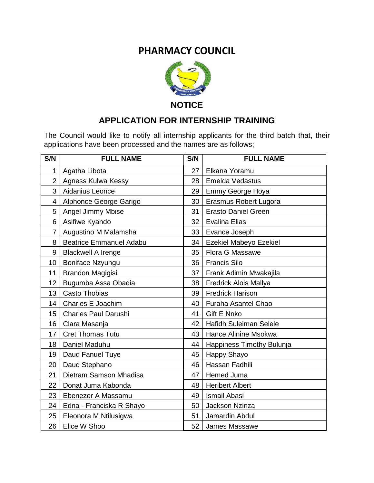## **PHARMACY COUNCIL**



## **APPLICATION FOR INTERNSHIP TRAINING**

The Council would like to notify all internship applicants for the third batch that, their applications have been processed and the names are as follows;

| S/N             | <b>FULL NAME</b>               | S/N             | <b>FULL NAME</b>              |
|-----------------|--------------------------------|-----------------|-------------------------------|
| $\mathbf{1}$    | Agatha Libota                  | 27              | Elkana Yoramu                 |
| $\overline{2}$  | Agness Kulwa Kessy             | 28              | <b>Emelda Vedastus</b>        |
| 3               | Aidanius Leonce                | 29              | Emmy George Hoya              |
| 4               | Alphonce George Garigo         | 30              | Erasmus Robert Lugora         |
| 5               | <b>Angel Jimmy Mbise</b>       | 31              | <b>Erasto Daniel Green</b>    |
| 6               | Asifiwe Kyando                 | 32              | <b>Evalina Elias</b>          |
| $\overline{7}$  | Augustino M Malamsha           | 33 <sup>1</sup> | Evance Joseph                 |
| 8               | <b>Beatrice Emmanuel Adabu</b> | 34              | Ezekiel Mabeyo Ezekiel        |
| 9               | <b>Blackwell A Irenge</b>      | 35              | <b>Flora G Massawe</b>        |
| 10 <sup>1</sup> | Boniface Nzyungu               | 36              | <b>Francis Silo</b>           |
| 11              | Brandon Magigisi               | 37 <sup>1</sup> | Frank Adimin Mwakajila        |
| 12 <sub>2</sub> | Bugumba Assa Obadia            | 38              | <b>Fredrick Alois Mallya</b>  |
| 13              | Casto Thobias                  | 39              | <b>Fredrick Harison</b>       |
| 14              | Charles E Joachim              | 40              | Furaha Asantel Chao           |
| 15              | <b>Charles Paul Darushi</b>    | 41              | Gift E Nnko                   |
| 16              | Clara Masanja                  | 42              | <b>Hafidh Suleiman Selele</b> |
| 17              | <b>Cret Thomas Tutu</b>        | 43              | Hance Alinine Msokwa          |
| 18              | Daniel Maduhu                  | 44              | Happiness Timothy Bulunja     |
| 19              | Daud Fanuel Tuye               | 45              | Happy Shayo                   |
| 20              | Daud Stephano                  | 46              | Hassan Fadhili                |
| 21              | Dietram Samson Mhadisa         | 47              | Hemed Juma                    |
| 22              | Donat Juma Kabonda             | 48              | <b>Heribert Albert</b>        |
| 23              | Ebenezer A Massamu             | 49              | Ismail Abasi                  |
| 24              | Edna - Franciska R Shayo       | 50              | <b>Jackson Nzinza</b>         |
| 25              | Eleonora M Ntilusigwa          | 51              | Jamardin Abdul                |
| 26              | Elice W Shoo                   | 52              | James Massawe                 |